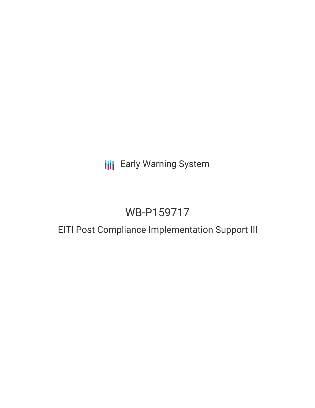**III** Early Warning System

# WB-P159717

## EITI Post Compliance Implementation Support III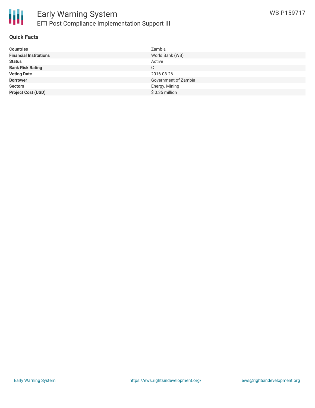

#### **Quick Facts**

| <b>Countries</b>              | Zambia               |
|-------------------------------|----------------------|
| <b>Financial Institutions</b> | World Bank (WB)      |
| <b>Status</b>                 | Active               |
| <b>Bank Risk Rating</b>       | C                    |
| <b>Voting Date</b>            | 2016-08-26           |
| <b>Borrower</b>               | Government of Zambia |
| <b>Sectors</b>                | Energy, Mining       |
| <b>Project Cost (USD)</b>     | $$0.35$ million      |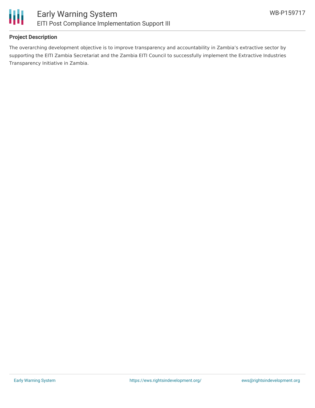

#### **Project Description**

The overarching development objective is to improve transparency and accountability in Zambia's extractive sector by supporting the EITI Zambia Secretariat and the Zambia EITI Council to successfully implement the Extractive Industries Transparency Initiative in Zambia.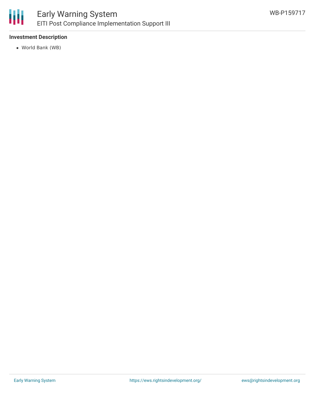

#### **Investment Description**

World Bank (WB)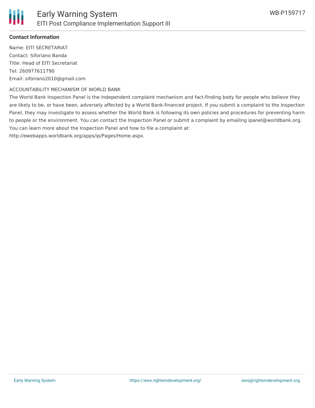#### **Contact Information**

Name: EITI SECRETARIAT Contact: Siforiano Banda Title: Head of EITI Secretariat Tel: 260977611790 Email: siforiano2010@gmail.com

#### ACCOUNTABILITY MECHANISM OF WORLD BANK

The World Bank Inspection Panel is the independent complaint mechanism and fact-finding body for people who believe they are likely to be, or have been, adversely affected by a World Bank-financed project. If you submit a complaint to the Inspection Panel, they may investigate to assess whether the World Bank is following its own policies and procedures for preventing harm to people or the environment. You can contact the Inspection Panel or submit a complaint by emailing ipanel@worldbank.org. You can learn more about the Inspection Panel and how to file a complaint at:

http://ewebapps.worldbank.org/apps/ip/Pages/Home.aspx.